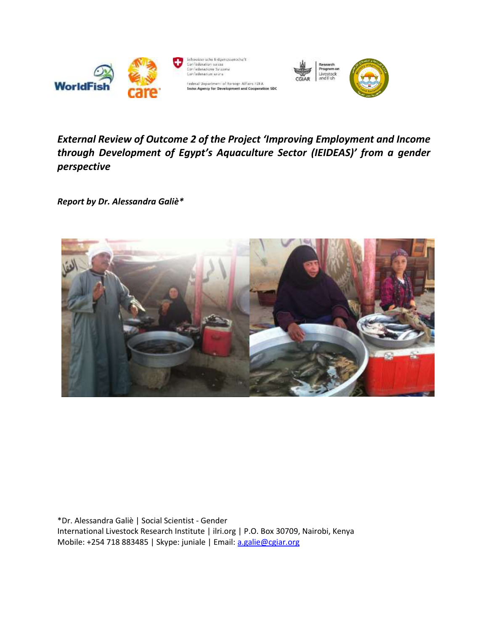

*External Review of Outcome 2 of the Project 'Improving Employment and Income through Development of Egypt's Aquaculture Sector (IEIDEAS)' from a gender perspective*

*Report by Dr. Alessandra Galiè\**



\*Dr. Alessandra Galiè | Social Scientist - Gender International Livestock Research Institute | ilri.org | P.O. Box 30709, Nairobi, Kenya Mobile: +254 718 883485 | Skype: juniale | Email: [a.galie@cgiar.org](mailto:a.galie@cgiar.org)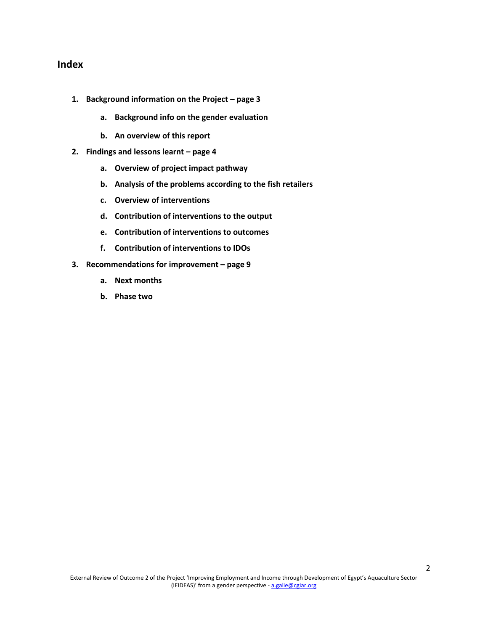## **Index**

- **1. Background information on the Project – page 3**
	- **a. Background info on the gender evaluation**
	- **b. An overview of this report**
- **2. Findings and lessons learnt – page 4**
	- **a. Overview of project impact pathway**
	- **b. Analysis of the problems according to the fish retailers**
	- **c. Overview of interventions**
	- **d. Contribution of interventions to the output**
	- **e. Contribution of interventions to outcomes**
	- **f. Contribution of interventions to IDOs**
- **3. Recommendations for improvement – page 9**
	- **a. Next months**
	- **b. Phase two**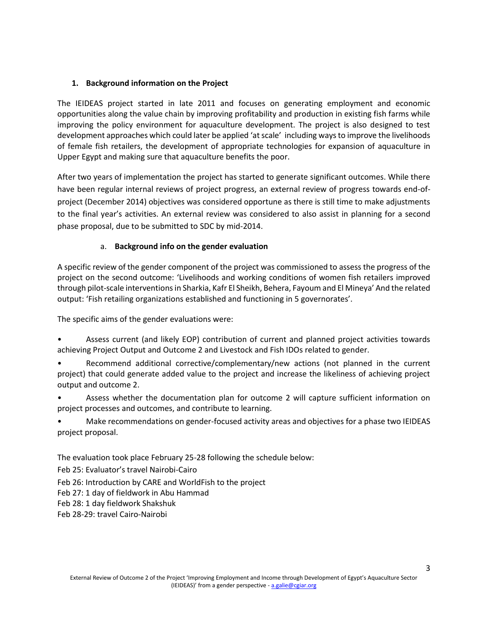## **1. Background information on the Project**

The IEIDEAS project started in late 2011 and focuses on generating employment and economic opportunities along the value chain by improving profitability and production in existing fish farms while improving the policy environment for aquaculture development. The project is also designed to test development approaches which could later be applied 'at scale' including ways to improve the livelihoods of female fish retailers, the development of appropriate technologies for expansion of aquaculture in Upper Egypt and making sure that aquaculture benefits the poor.

After two years of implementation the project has started to generate significant outcomes. While there have been regular internal reviews of project progress, an external review of progress towards end-ofproject (December 2014) objectives was considered opportune as there is still time to make adjustments to the final year's activities. An external review was considered to also assist in planning for a second phase proposal, due to be submitted to SDC by mid-2014.

# a. **Background info on the gender evaluation**

A specific review of the gender component of the project was commissioned to assess the progress of the project on the second outcome: 'Livelihoods and working conditions of women fish retailers improved through pilot-scale interventions in Sharkia, Kafr El Sheikh, Behera, Fayoum and El Mineya' And the related output: 'Fish retailing organizations established and functioning in 5 governorates'.

The specific aims of the gender evaluations were:

• Assess current (and likely EOP) contribution of current and planned project activities towards achieving Project Output and Outcome 2 and Livestock and Fish IDOs related to gender.

• Recommend additional corrective/complementary/new actions (not planned in the current project) that could generate added value to the project and increase the likeliness of achieving project output and outcome 2.

• Assess whether the documentation plan for outcome 2 will capture sufficient information on project processes and outcomes, and contribute to learning.

• Make recommendations on gender-focused activity areas and objectives for a phase two IEIDEAS project proposal.

The evaluation took place February 25-28 following the schedule below:

Feb 25: Evaluator's travel Nairobi-Cairo

Feb 26: Introduction by CARE and WorldFish to the project

Feb 27: 1 day of fieldwork in Abu Hammad

Feb 28: 1 day fieldwork Shakshuk

Feb 28-29: travel Cairo-Nairobi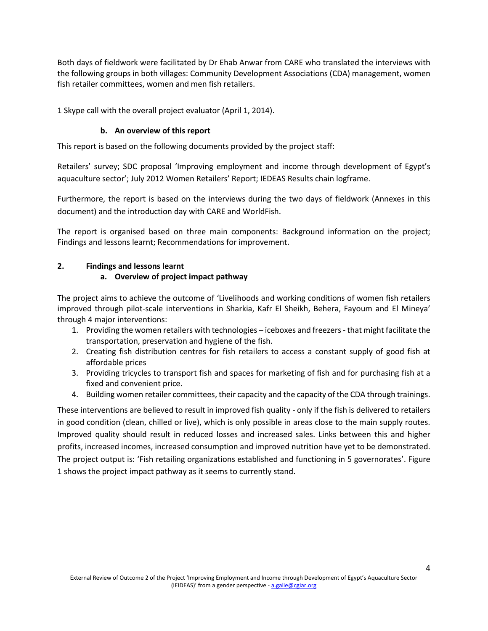Both days of fieldwork were facilitated by Dr Ehab Anwar from CARE who translated the interviews with the following groups in both villages: Community Development Associations (CDA) management, women fish retailer committees, women and men fish retailers.

1 Skype call with the overall project evaluator (April 1, 2014).

# **b. An overview of this report**

This report is based on the following documents provided by the project staff:

Retailers' survey; SDC proposal 'Improving employment and income through development of Egypt's aquaculture sector'; July 2012 Women Retailers' Report; IEDEAS Results chain logframe.

Furthermore, the report is based on the interviews during the two days of fieldwork (Annexes in this document) and the introduction day with CARE and WorldFish.

The report is organised based on three main components: Background information on the project; Findings and lessons learnt; Recommendations for improvement.

# **2. Findings and lessons learnt**

# **a. Overview of project impact pathway**

The project aims to achieve the outcome of 'Livelihoods and working conditions of women fish retailers improved through pilot-scale interventions in Sharkia, Kafr El Sheikh, Behera, Fayoum and El Mineya' through 4 major interventions:

- 1. Providing the women retailers with technologies iceboxes and freezers that might facilitate the transportation, preservation and hygiene of the fish.
- 2. Creating fish distribution centres for fish retailers to access a constant supply of good fish at affordable prices
- 3. Providing tricycles to transport fish and spaces for marketing of fish and for purchasing fish at a fixed and convenient price.
- 4. Building women retailer committees, their capacity and the capacity of the CDA through trainings.

These interventions are believed to result in improved fish quality - only if the fish is delivered to retailers in good condition (clean, chilled or live), which is only possible in areas close to the main supply routes. Improved quality should result in reduced losses and increased sales. Links between this and higher profits, increased incomes, increased consumption and improved nutrition have yet to be demonstrated. The project output is: 'Fish retailing organizations established and functioning in 5 governorates'. Figure 1 shows the project impact pathway as it seems to currently stand.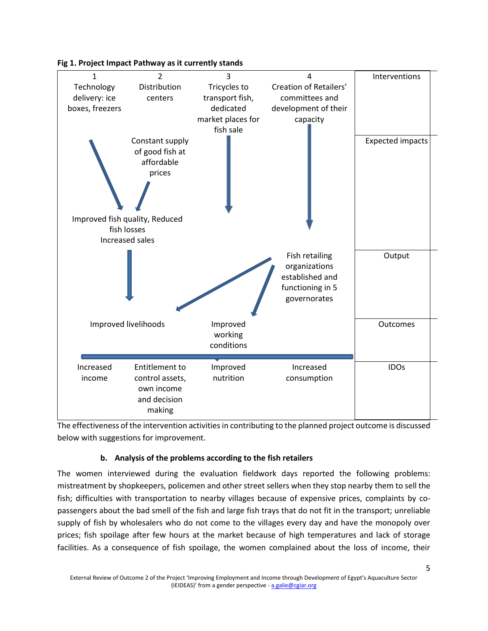

#### **Fig 1. Project Impact Pathway as it currently stands**

The effectiveness of the intervention activities in contributing to the planned project outcome is discussed below with suggestions for improvement.

### **b. Analysis of the problems according to the fish retailers**

The women interviewed during the evaluation fieldwork days reported the following problems: mistreatment by shopkeepers, policemen and other street sellers when they stop nearby them to sell the fish; difficulties with transportation to nearby villages because of expensive prices, complaints by copassengers about the bad smell of the fish and large fish trays that do not fit in the transport; unreliable supply of fish by wholesalers who do not come to the villages every day and have the monopoly over prices; fish spoilage after few hours at the market because of high temperatures and lack of storage facilities. As a consequence of fish spoilage, the women complained about the loss of income, their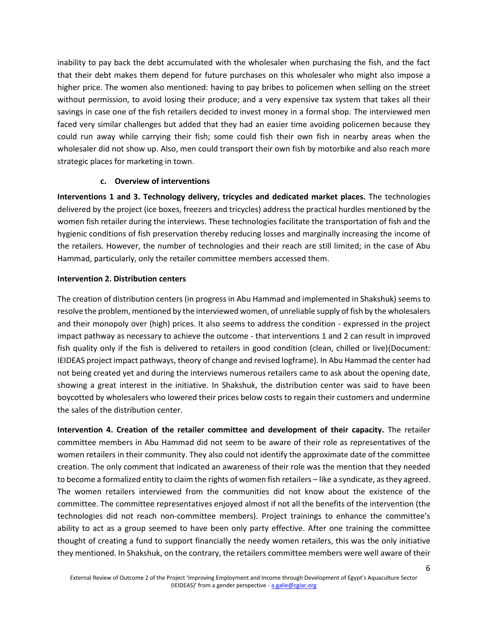inability to pay back the debt accumulated with the wholesaler when purchasing the fish, and the fact that their debt makes them depend for future purchases on this wholesaler who might also impose a higher price. The women also mentioned: having to pay bribes to policemen when selling on the street without permission, to avoid losing their produce; and a very expensive tax system that takes all their savings in case one of the fish retailers decided to invest money in a formal shop. The interviewed men faced very similar challenges but added that they had an easier time avoiding policemen because they could run away while carrying their fish; some could fish their own fish in nearby areas when the wholesaler did not show up. Also, men could transport their own fish by motorbike and also reach more strategic places for marketing in town.

#### **c. Overview of interventions**

**Interventions 1 and 3. Technology delivery, tricycles and dedicated market places.** The technologies delivered by the project (ice boxes, freezers and tricycles) address the practical hurdles mentioned by the women fish retailer during the interviews. These technologies facilitate the transportation of fish and the hygienic conditions of fish preservation thereby reducing losses and marginally increasing the income of the retailers. However, the number of technologies and their reach are still limited; in the case of Abu Hammad, particularly, only the retailer committee members accessed them.

### **Intervention 2. Distribution centers**

The creation of distribution centers (in progress in Abu Hammad and implemented in Shakshuk) seems to resolve the problem, mentioned by the interviewed women, of unreliable supply of fish by the wholesalers and their monopoly over (high) prices. It also seems to address the condition - expressed in the project impact pathway as necessary to achieve the outcome - that interventions 1 and 2 can result in improved fish quality only if the fish is delivered to retailers in good condition (clean, chilled or live)(Document: IEIDEAS project impact pathways, theory of change and revised logframe). In Abu Hammad the center had not being created yet and during the interviews numerous retailers came to ask about the opening date, showing a great interest in the initiative. In Shakshuk, the distribution center was said to have been boycotted by wholesalers who lowered their prices below costs to regain their customers and undermine the sales of the distribution center.

**Intervention 4. Creation of the retailer committee and development of their capacity.** The retailer committee members in Abu Hammad did not seem to be aware of their role as representatives of the women retailers in their community. They also could not identify the approximate date of the committee creation. The only comment that indicated an awareness of their role was the mention that they needed to become a formalized entity to claim the rights of women fish retailers – like a syndicate, as they agreed. The women retailers interviewed from the communities did not know about the existence of the committee. The committee representatives enjoyed almost if not all the benefits of the intervention (the technologies did not reach non-committee members). Project trainings to enhance the committee's ability to act as a group seemed to have been only party effective. After one training the committee thought of creating a fund to support financially the needy women retailers, this was the only initiative they mentioned. In Shakshuk, on the contrary, the retailers committee members were well aware of their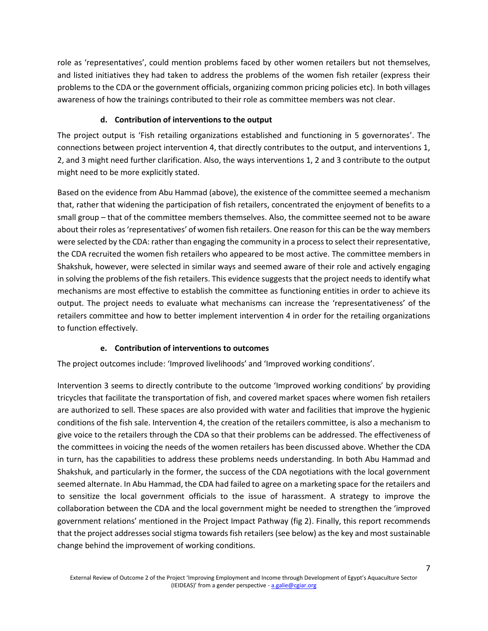role as 'representatives', could mention problems faced by other women retailers but not themselves, and listed initiatives they had taken to address the problems of the women fish retailer (express their problems to the CDA or the government officials, organizing common pricing policies etc). In both villages awareness of how the trainings contributed to their role as committee members was not clear.

# **d. Contribution of interventions to the output**

The project output is 'Fish retailing organizations established and functioning in 5 governorates'. The connections between project intervention 4, that directly contributes to the output, and interventions 1, 2, and 3 might need further clarification. Also, the ways interventions 1, 2 and 3 contribute to the output might need to be more explicitly stated.

Based on the evidence from Abu Hammad (above), the existence of the committee seemed a mechanism that, rather that widening the participation of fish retailers, concentrated the enjoyment of benefits to a small group – that of the committee members themselves. Also, the committee seemed not to be aware about their roles as 'representatives' of women fish retailers. One reason for this can be the way members were selected by the CDA: rather than engaging the community in a process to select their representative, the CDA recruited the women fish retailers who appeared to be most active. The committee members in Shakshuk, however, were selected in similar ways and seemed aware of their role and actively engaging in solving the problems of the fish retailers. This evidence suggests that the project needs to identify what mechanisms are most effective to establish the committee as functioning entities in order to achieve its output. The project needs to evaluate what mechanisms can increase the 'representativeness' of the retailers committee and how to better implement intervention 4 in order for the retailing organizations to function effectively.

# **e. Contribution of interventions to outcomes**

The project outcomes include: 'Improved livelihoods' and 'Improved working conditions'.

Intervention 3 seems to directly contribute to the outcome 'Improved working conditions' by providing tricycles that facilitate the transportation of fish, and covered market spaces where women fish retailers are authorized to sell. These spaces are also provided with water and facilities that improve the hygienic conditions of the fish sale. Intervention 4, the creation of the retailers committee, is also a mechanism to give voice to the retailers through the CDA so that their problems can be addressed. The effectiveness of the committees in voicing the needs of the women retailers has been discussed above. Whether the CDA in turn, has the capabilities to address these problems needs understanding. In both Abu Hammad and Shakshuk, and particularly in the former, the success of the CDA negotiations with the local government seemed alternate. In Abu Hammad, the CDA had failed to agree on a marketing space for the retailers and to sensitize the local government officials to the issue of harassment. A strategy to improve the collaboration between the CDA and the local government might be needed to strengthen the 'improved government relations' mentioned in the Project Impact Pathway (fig 2). Finally, this report recommends that the project addresses social stigma towards fish retailers (see below) as the key and most sustainable change behind the improvement of working conditions.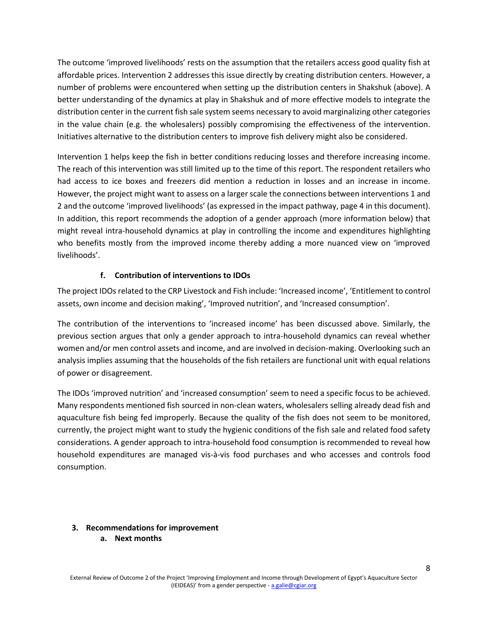The outcome 'improved livelihoods' rests on the assumption that the retailers access good quality fish at affordable prices. Intervention 2 addresses this issue directly by creating distribution centers. However, a number of problems were encountered when setting up the distribution centers in Shakshuk (above). A better understanding of the dynamics at play in Shakshuk and of more effective models to integrate the distribution center in the current fish sale system seems necessary to avoid marginalizing other categories in the value chain (e.g. the wholesalers) possibly compromising the effectiveness of the intervention. Initiatives alternative to the distribution centers to improve fish delivery might also be considered.

Intervention 1 helps keep the fish in better conditions reducing losses and therefore increasing income. The reach of this intervention was still limited up to the time of this report. The respondent retailers who had access to ice boxes and freezers did mention a reduction in losses and an increase in income. However, the project might want to assess on a larger scale the connections between interventions 1 and 2 and the outcome 'improved livelihoods' (as expressed in the impact pathway, page 4 in this document). In addition, this report recommends the adoption of a gender approach (more information below) that might reveal intra-household dynamics at play in controlling the income and expenditures highlighting who benefits mostly from the improved income thereby adding a more nuanced view on 'improved livelihoods'.

# **f. Contribution of interventions to IDOs**

The project IDOs related to the CRP Livestock and Fish include: 'Increased income', 'Entitlement to control assets, own income and decision making', 'Improved nutrition', and 'Increased consumption'.

The contribution of the interventions to 'increased income' has been discussed above. Similarly, the previous section argues that only a gender approach to intra-household dynamics can reveal whether women and/or men control assets and income, and are involved in decision-making. Overlooking such an analysis implies assuming that the households of the fish retailers are functional unit with equal relations of power or disagreement.

The IDOs 'improved nutrition' and 'increased consumption' seem to need a specific focus to be achieved. Many respondents mentioned fish sourced in non-clean waters, wholesalers selling already dead fish and aquaculture fish being fed improperly. Because the quality of the fish does not seem to be monitored, currently, the project might want to study the hygienic conditions of the fish sale and related food safety considerations. A gender approach to intra-household food consumption is recommended to reveal how household expenditures are managed vis-à-vis food purchases and who accesses and controls food consumption.

### **3. Recommendations for improvement**

**a. Next months**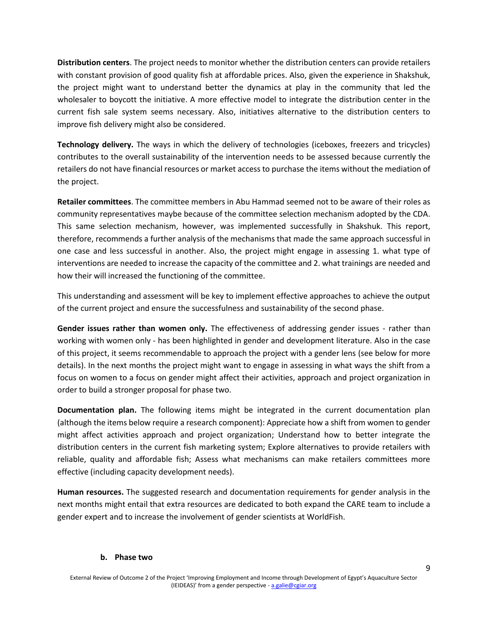**Distribution centers**. The project needs to monitor whether the distribution centers can provide retailers with constant provision of good quality fish at affordable prices. Also, given the experience in Shakshuk, the project might want to understand better the dynamics at play in the community that led the wholesaler to boycott the initiative. A more effective model to integrate the distribution center in the current fish sale system seems necessary. Also, initiatives alternative to the distribution centers to improve fish delivery might also be considered.

**Technology delivery.** The ways in which the delivery of technologies (iceboxes, freezers and tricycles) contributes to the overall sustainability of the intervention needs to be assessed because currently the retailers do not have financial resources or market access to purchase the items without the mediation of the project.

**Retailer committees**. The committee members in Abu Hammad seemed not to be aware of their roles as community representatives maybe because of the committee selection mechanism adopted by the CDA. This same selection mechanism, however, was implemented successfully in Shakshuk. This report, therefore, recommends a further analysis of the mechanisms that made the same approach successful in one case and less successful in another. Also, the project might engage in assessing 1. what type of interventions are needed to increase the capacity of the committee and 2. what trainings are needed and how their will increased the functioning of the committee.

This understanding and assessment will be key to implement effective approaches to achieve the output of the current project and ensure the successfulness and sustainability of the second phase.

**Gender issues rather than women only.** The effectiveness of addressing gender issues - rather than working with women only - has been highlighted in gender and development literature. Also in the case of this project, it seems recommendable to approach the project with a gender lens (see below for more details). In the next months the project might want to engage in assessing in what ways the shift from a focus on women to a focus on gender might affect their activities, approach and project organization in order to build a stronger proposal for phase two.

**Documentation plan.** The following items might be integrated in the current documentation plan (although the items below require a research component): Appreciate how a shift from women to gender might affect activities approach and project organization; Understand how to better integrate the distribution centers in the current fish marketing system; Explore alternatives to provide retailers with reliable, quality and affordable fish; Assess what mechanisms can make retailers committees more effective (including capacity development needs).

**Human resources.** The suggested research and documentation requirements for gender analysis in the next months might entail that extra resources are dedicated to both expand the CARE team to include a gender expert and to increase the involvement of gender scientists at WorldFish.

#### **b. Phase two**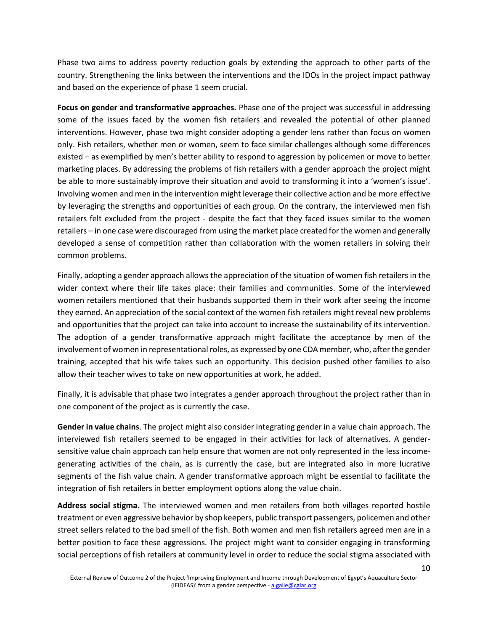Phase two aims to address poverty reduction goals by extending the approach to other parts of the country. Strengthening the links between the interventions and the IDOs in the project impact pathway and based on the experience of phase 1 seem crucial.

**Focus on gender and transformative approaches.** Phase one of the project was successful in addressing some of the issues faced by the women fish retailers and revealed the potential of other planned interventions. However, phase two might consider adopting a gender lens rather than focus on women only. Fish retailers, whether men or women, seem to face similar challenges although some differences existed – as exemplified by men's better ability to respond to aggression by policemen or move to better marketing places. By addressing the problems of fish retailers with a gender approach the project might be able to more sustainably improve their situation and avoid to transforming it into a 'women's issue'. Involving women and men in the intervention might leverage their collective action and be more effective by leveraging the strengths and opportunities of each group. On the contrary, the interviewed men fish retailers felt excluded from the project - despite the fact that they faced issues similar to the women retailers – in one case were discouraged from using the market place created for the women and generally developed a sense of competition rather than collaboration with the women retailers in solving their common problems.

Finally, adopting a gender approach allows the appreciation of the situation of women fish retailers in the wider context where their life takes place: their families and communities. Some of the interviewed women retailers mentioned that their husbands supported them in their work after seeing the income they earned. An appreciation of the social context of the women fish retailers might reveal new problems and opportunities that the project can take into account to increase the sustainability of its intervention. The adoption of a gender transformative approach might facilitate the acceptance by men of the involvement of women in representational roles, as expressed by one CDA member, who, after the gender training, accepted that his wife takes such an opportunity. This decision pushed other families to also allow their teacher wives to take on new opportunities at work, he added.

Finally, it is advisable that phase two integrates a gender approach throughout the project rather than in one component of the project as is currently the case.

**Gender in value chains**. The project might also consider integrating gender in a value chain approach. The interviewed fish retailers seemed to be engaged in their activities for lack of alternatives. A gendersensitive value chain approach can help ensure that women are not only represented in the less incomegenerating activities of the chain, as is currently the case, but are integrated also in more lucrative segments of the fish value chain. A gender transformative approach might be essential to facilitate the integration of fish retailers in better employment options along the value chain.

**Address social stigma.** The interviewed women and men retailers from both villages reported hostile treatment or even aggressive behavior by shop keepers, public transport passengers, policemen and other street sellers related to the bad smell of the fish. Both women and men fish retailers agreed men are in a better position to face these aggressions. The project might want to consider engaging in transforming social perceptions of fish retailers at community level in order to reduce the social stigma associated with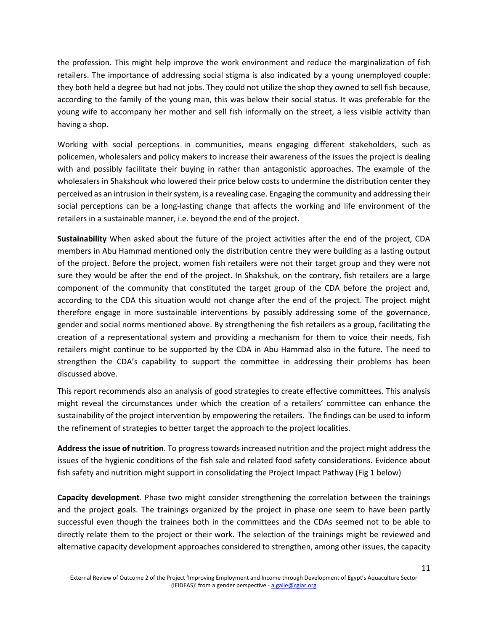the profession. This might help improve the work environment and reduce the marginalization of fish retailers. The importance of addressing social stigma is also indicated by a young unemployed couple: they both held a degree but had not jobs. They could not utilize the shop they owned to sell fish because, according to the family of the young man, this was below their social status. It was preferable for the young wife to accompany her mother and sell fish informally on the street, a less visible activity than having a shop.

Working with social perceptions in communities, means engaging different stakeholders, such as policemen, wholesalers and policy makers to increase their awareness of the issues the project is dealing with and possibly facilitate their buying in rather than antagonistic approaches. The example of the wholesalers in Shakshouk who lowered their price below costs to undermine the distribution center they perceived as an intrusion in their system, is a revealing case. Engaging the community and addressing their social perceptions can be a long-lasting change that affects the working and life environment of the retailers in a sustainable manner, i.e. beyond the end of the project.

**Sustainability** When asked about the future of the project activities after the end of the project, CDA members in Abu Hammad mentioned only the distribution centre they were building as a lasting output of the project. Before the project, women fish retailers were not their target group and they were not sure they would be after the end of the project. In Shakshuk, on the contrary, fish retailers are a large component of the community that constituted the target group of the CDA before the project and, according to the CDA this situation would not change after the end of the project. The project might therefore engage in more sustainable interventions by possibly addressing some of the governance, gender and social norms mentioned above. By strengthening the fish retailers as a group, facilitating the creation of a representational system and providing a mechanism for them to voice their needs, fish retailers might continue to be supported by the CDA in Abu Hammad also in the future. The need to strengthen the CDA's capability to support the committee in addressing their problems has been discussed above.

This report recommends also an analysis of good strategies to create effective committees. This analysis might reveal the circumstances under which the creation of a retailers' committee can enhance the sustainability of the project intervention by empowering the retailers. The findings can be used to inform the refinement of strategies to better target the approach to the project localities.

**Address the issue of nutrition**. To progress towards increased nutrition and the project might address the issues of the hygienic conditions of the fish sale and related food safety considerations. Evidence about fish safety and nutrition might support in consolidating the Project Impact Pathway (Fig 1 below)

**Capacity development**. Phase two might consider strengthening the correlation between the trainings and the project goals. The trainings organized by the project in phase one seem to have been partly successful even though the trainees both in the committees and the CDAs seemed not to be able to directly relate them to the project or their work. The selection of the trainings might be reviewed and alternative capacity development approaches considered to strengthen, among other issues, the capacity